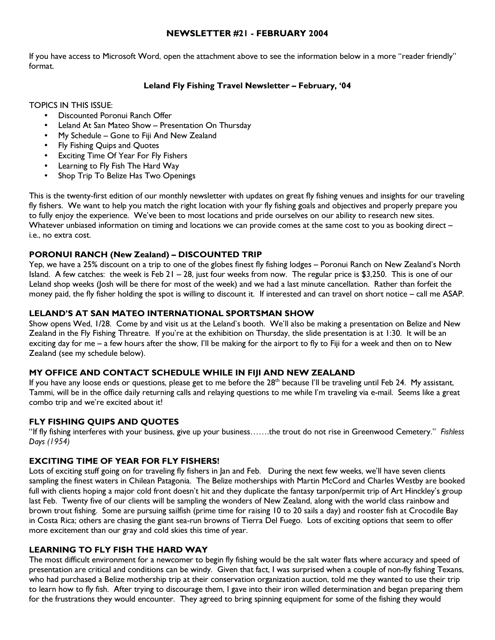## NEWSLETTER #21 - FEBRUARY 2004

If you have access to Microsoft Word, open the attachment above to see the information below in a more "reader friendly" format.

## Leland Fly Fishing Travel Newsletter – February, '04

TOPICS IN THIS ISSUE:

- Discounted Poronui Ranch Offer
- Leland At San Mateo Show Presentation On Thursday
- My Schedule Gone to Fiji And New Zealand
- Fly Fishing Quips and Quotes
- Exciting Time Of Year For Fly Fishers
- Learning to Fly Fish The Hard Way
- Shop Trip To Belize Has Two Openings

This is the twenty-first edition of our monthly newsletter with updates on great fly fishing venues and insights for our traveling fly fishers. We want to help you match the right location with your fly fishing goals and objectives and properly prepare you to fully enjoy the experience. We've been to most locations and pride ourselves on our ability to research new sites. Whatever unbiased information on timing and locations we can provide comes at the same cost to you as booking direct – i.e., no extra cost.

## PORONUI RANCH (New Zealand) – DISCOUNTED TRIP

Yep, we have a 25% discount on a trip to one of the globes finest fly fishing lodges – Poronui Ranch on New Zealand's North Island. A few catches: the week is Feb  $21 - 28$ , just four weeks from now. The regular price is \$3,250. This is one of our Leland shop weeks (Josh will be there for most of the week) and we had a last minute cancellation. Rather than forfeit the money paid, the fly fisher holding the spot is willing to discount it. If interested and can travel on short notice – call me ASAP.

### LELAND'S AT SAN MATEO INTERNATIONAL SPORTSMAN SHOW

Show opens Wed, 1/28. Come by and visit us at the Leland's booth. We'll also be making a presentation on Belize and New Zealand in the Fly Fishing Threatre. If you're at the exhibition on Thursday, the slide presentation is at 1:30. It will be an exciting day for me – a few hours after the show, I'll be making for the airport to fly to Fiji for a week and then on to New Zealand (see my schedule below).

# MY OFFICE AND CONTACT SCHEDULE WHILE IN FIJI AND NEW ZEALAND

If you have any loose ends or questions, please get to me before the  $28<sup>th</sup>$  because I'll be traveling until Feb 24. My assistant, Tammi, will be in the office daily returning calls and relaying questions to me while I'm traveling via e-mail. Seems like a great combo trip and we're excited about it!

## FLY FISHING QUIPS AND QUOTES

"If fly fishing interferes with your business, give up your business…….the trout do not rise in Greenwood Cemetery." Fishless Days (1954)

#### EXCITING TIME OF YEAR FOR FLY FISHERS!

Lots of exciting stuff going on for traveling fly fishers in Jan and Feb. During the next few weeks, we'll have seven clients sampling the finest waters in Chilean Patagonia. The Belize motherships with Martin McCord and Charles Westby are booked full with clients hoping a major cold front doesn't hit and they duplicate the fantasy tarpon/permit trip of Art Hinckley's group last Feb. Twenty five of our clients will be sampling the wonders of New Zealand, along with the world class rainbow and brown trout fishing. Some are pursuing sailfish (prime time for raising 10 to 20 sails a day) and rooster fish at Crocodile Bay in Costa Rica; others are chasing the giant sea-run browns of Tierra Del Fuego. Lots of exciting options that seem to offer more excitement than our gray and cold skies this time of year.

#### LEARNING TO FLY FISH THE HARD WAY

The most difficult environment for a newcomer to begin fly fishing would be the salt water flats where accuracy and speed of presentation are critical and conditions can be windy. Given that fact, I was surprised when a couple of non-fly fishing Texans, who had purchased a Belize mothership trip at their conservation organization auction, told me they wanted to use their trip to learn how to fly fish. After trying to discourage them, I gave into their iron willed determination and began preparing them for the frustrations they would encounter. They agreed to bring spinning equipment for some of the fishing they would